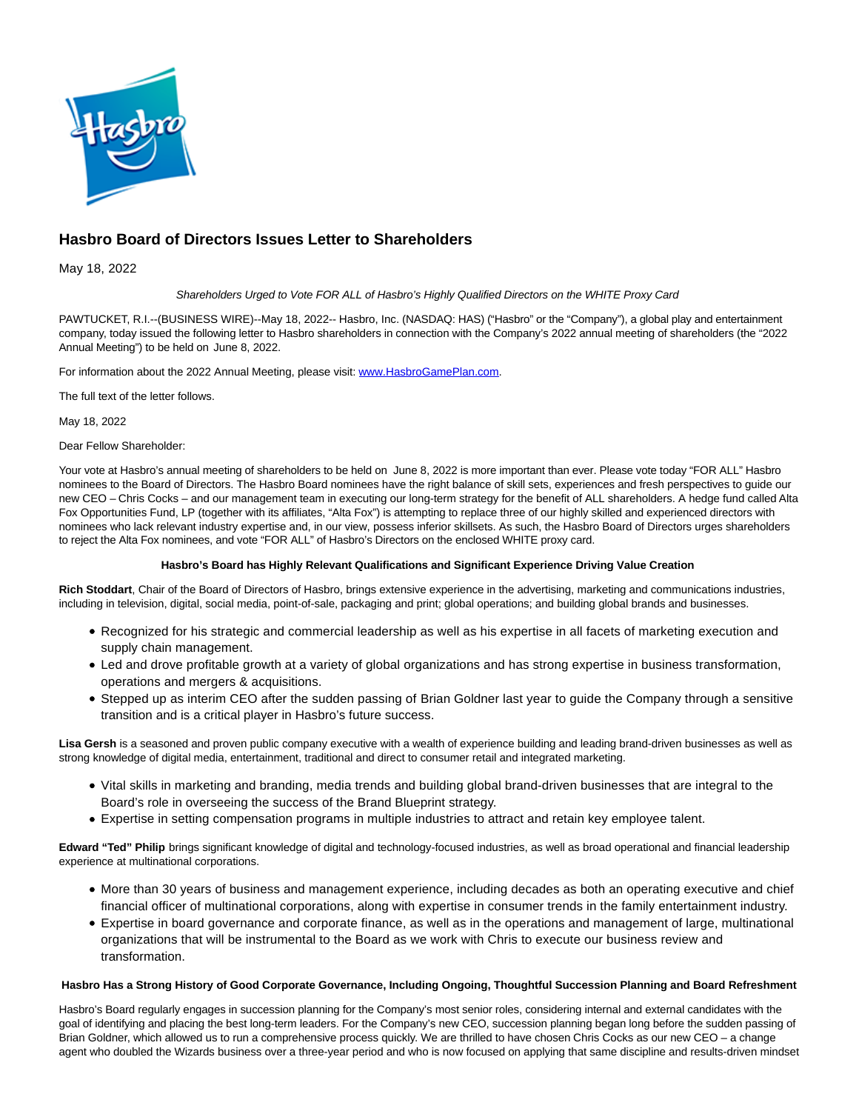

# **Hasbro Board of Directors Issues Letter to Shareholders**

May 18, 2022

# Shareholders Urged to Vote FOR ALL of Hasbro's Highly Qualified Directors on the WHITE Proxy Card

PAWTUCKET, R.I.--(BUSINESS WIRE)--May 18, 2022-- Hasbro, Inc. (NASDAQ: HAS) ("Hasbro" or the "Company"), a global play and entertainment company, today issued the following letter to Hasbro shareholders in connection with the Company's 2022 annual meeting of shareholders (the "2022 Annual Meeting") to be held on June 8, 2022.

For information about the 2022 Annual Meeting, please visit: [www.HasbroGamePlan.com.](https://cts.businesswire.com/ct/CT?id=smartlink&url=http%3A%2F%2Fwww.HasbroGamePlan.com&esheet=52723170&newsitemid=20220517006337&lan=en-US&anchor=www.HasbroGamePlan.com&index=1&md5=a1f86ac11a60ed22378aaa339bc2c517)

The full text of the letter follows.

May 18, 2022

Dear Fellow Shareholder:

Your vote at Hasbro's annual meeting of shareholders to be held on June 8, 2022 is more important than ever. Please vote today "FOR ALL" Hasbro nominees to the Board of Directors. The Hasbro Board nominees have the right balance of skill sets, experiences and fresh perspectives to guide our new CEO – Chris Cocks – and our management team in executing our long-term strategy for the benefit of ALL shareholders. A hedge fund called Alta Fox Opportunities Fund, LP (together with its affiliates, "Alta Fox") is attempting to replace three of our highly skilled and experienced directors with nominees who lack relevant industry expertise and, in our view, possess inferior skillsets. As such, the Hasbro Board of Directors urges shareholders to reject the Alta Fox nominees, and vote "FOR ALL" of Hasbro's Directors on the enclosed WHITE proxy card.

# **Hasbro's Board has Highly Relevant Qualifications and Significant Experience Driving Value Creation**

**Rich Stoddart**, Chair of the Board of Directors of Hasbro, brings extensive experience in the advertising, marketing and communications industries, including in television, digital, social media, point-of-sale, packaging and print; global operations; and building global brands and businesses.

- Recognized for his strategic and commercial leadership as well as his expertise in all facets of marketing execution and supply chain management.
- Led and drove profitable growth at a variety of global organizations and has strong expertise in business transformation, operations and mergers & acquisitions.
- Stepped up as interim CEO after the sudden passing of Brian Goldner last year to guide the Company through a sensitive transition and is a critical player in Hasbro's future success.

**Lisa Gersh** is a seasoned and proven public company executive with a wealth of experience building and leading brand-driven businesses as well as strong knowledge of digital media, entertainment, traditional and direct to consumer retail and integrated marketing.

- Vital skills in marketing and branding, media trends and building global brand-driven businesses that are integral to the Board's role in overseeing the success of the Brand Blueprint strategy.
- Expertise in setting compensation programs in multiple industries to attract and retain key employee talent.

**Edward "Ted" Philip** brings significant knowledge of digital and technology-focused industries, as well as broad operational and financial leadership experience at multinational corporations.

- More than 30 years of business and management experience, including decades as both an operating executive and chief financial officer of multinational corporations, along with expertise in consumer trends in the family entertainment industry.
- Expertise in board governance and corporate finance, as well as in the operations and management of large, multinational organizations that will be instrumental to the Board as we work with Chris to execute our business review and transformation.

## **Hasbro Has a Strong History of Good Corporate Governance, Including Ongoing, Thoughtful Succession Planning and Board Refreshment**

Hasbro's Board regularly engages in succession planning for the Company's most senior roles, considering internal and external candidates with the goal of identifying and placing the best long-term leaders. For the Company's new CEO, succession planning began long before the sudden passing of Brian Goldner, which allowed us to run a comprehensive process quickly. We are thrilled to have chosen Chris Cocks as our new CEO – a change agent who doubled the Wizards business over a three-year period and who is now focused on applying that same discipline and results-driven mindset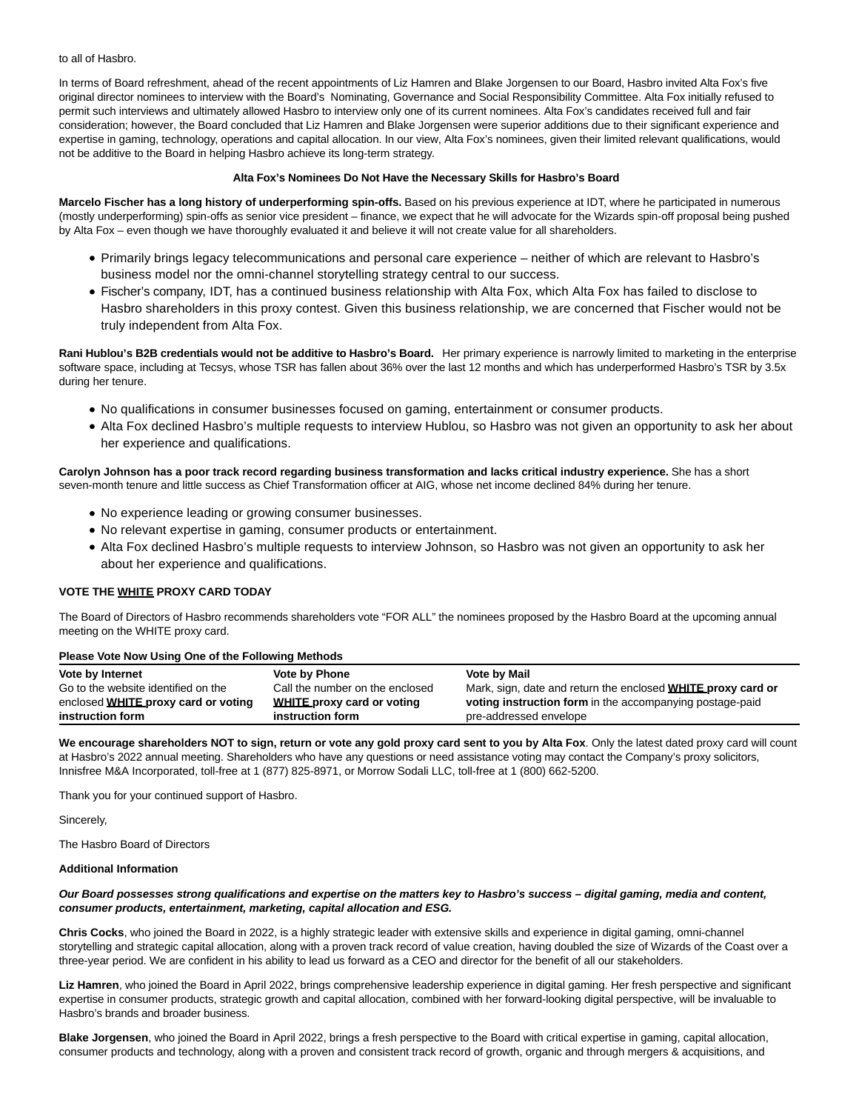to all of Hasbro.

In terms of Board refreshment, ahead of the recent appointments of Liz Hamren and Blake Jorgensen to our Board, Hasbro invited Alta Fox's five original director nominees to interview with the Board's Nominating, Governance and Social Responsibility Committee. Alta Fox initially refused to permit such interviews and ultimately allowed Hasbro to interview only one of its current nominees. Alta Fox's candidates received full and fair consideration; however, the Board concluded that Liz Hamren and Blake Jorgensen were superior additions due to their significant experience and expertise in gaming, technology, operations and capital allocation. In our view, Alta Fox's nominees, given their limited relevant qualifications, would not be additive to the Board in helping Hasbro achieve its long-term strategy.

## **Alta Fox's Nominees Do Not Have the Necessary Skills for Hasbro's Board**

**Marcelo Fischer has a long history of underperforming spin-offs.** Based on his previous experience at IDT, where he participated in numerous (mostly underperforming) spin-offs as senior vice president – finance, we expect that he will advocate for the Wizards spin-off proposal being pushed by Alta Fox – even though we have thoroughly evaluated it and believe it will not create value for all shareholders.

- Primarily brings legacy telecommunications and personal care experience neither of which are relevant to Hasbro's business model nor the omni-channel storytelling strategy central to our success.
- Fischer's company, IDT, has a continued business relationship with Alta Fox, which Alta Fox has failed to disclose to Hasbro shareholders in this proxy contest. Given this business relationship, we are concerned that Fischer would not be truly independent from Alta Fox.

**Rani Hublou's B2B credentials would not be additive to Hasbro's Board.** Her primary experience is narrowly limited to marketing in the enterprise software space, including at Tecsys, whose TSR has fallen about 36% over the last 12 months and which has underperformed Hasbro's TSR by 3.5x during her tenure.

- No qualifications in consumer businesses focused on gaming, entertainment or consumer products.
- Alta Fox declined Hasbro's multiple requests to interview Hublou, so Hasbro was not given an opportunity to ask her about her experience and qualifications.

## **Carolyn Johnson has a poor track record regarding business transformation and lacks critical industry experience.** She has a short seven-month tenure and little success as Chief Transformation officer at AIG, whose net income declined 84% during her tenure.

- No experience leading or growing consumer businesses.
- No relevant expertise in gaming, consumer products or entertainment.
- Alta Fox declined Hasbro's multiple requests to interview Johnson, so Hasbro was not given an opportunity to ask her about her experience and qualifications.

## **VOTE THE WHITE PROXY CARD TODAY**

The Board of Directors of Hasbro recommends shareholders vote "FOR ALL" the nominees proposed by the Hasbro Board at the upcoming annual meeting on the WHITE proxy card.

#### **Please Vote Now Using One of the Following Methods**

| Vote by Internet                    | <b>Vote by Phone</b>              | <b>Vote by Mail</b>                                                 |
|-------------------------------------|-----------------------------------|---------------------------------------------------------------------|
| Go to the website identified on the | Call the number on the enclosed   | Mark, sign, date and return the enclosed <b>WHITE proxy card or</b> |
| enclosed WHITE proxy card or voting | <b>WHITE proxy card or voting</b> | voting instruction form in the accompanying postage-paid            |
| instruction form                    | instruction form                  | pre-addressed envelope                                              |

**We encourage shareholders NOT to sign, return or vote any gold proxy card sent to you by Alta Fox**. Only the latest dated proxy card will count at Hasbro's 2022 annual meeting. Shareholders who have any questions or need assistance voting may contact the Company's proxy solicitors, Innisfree M&A Incorporated, toll-free at 1 (877) 825-8971, or Morrow Sodali LLC, toll-free at 1 (800) 662-5200.

Thank you for your continued support of Hasbro.

Sincerely,

The Hasbro Board of Directors

#### **Additional Information**

#### **Our Board possesses strong qualifications and expertise on the matters key to Hasbro's success – digital gaming, media and content, consumer products, entertainment, marketing, capital allocation and ESG.**

**Chris Cocks**, who joined the Board in 2022, is a highly strategic leader with extensive skills and experience in digital gaming, omni-channel storytelling and strategic capital allocation, along with a proven track record of value creation, having doubled the size of Wizards of the Coast over a three-year period. We are confident in his ability to lead us forward as a CEO and director for the benefit of all our stakeholders.

**Liz Hamren**, who joined the Board in April 2022, brings comprehensive leadership experience in digital gaming. Her fresh perspective and significant expertise in consumer products, strategic growth and capital allocation, combined with her forward-looking digital perspective, will be invaluable to Hasbro's brands and broader business.

**Blake Jorgensen**, who joined the Board in April 2022, brings a fresh perspective to the Board with critical expertise in gaming, capital allocation, consumer products and technology, along with a proven and consistent track record of growth, organic and through mergers & acquisitions, and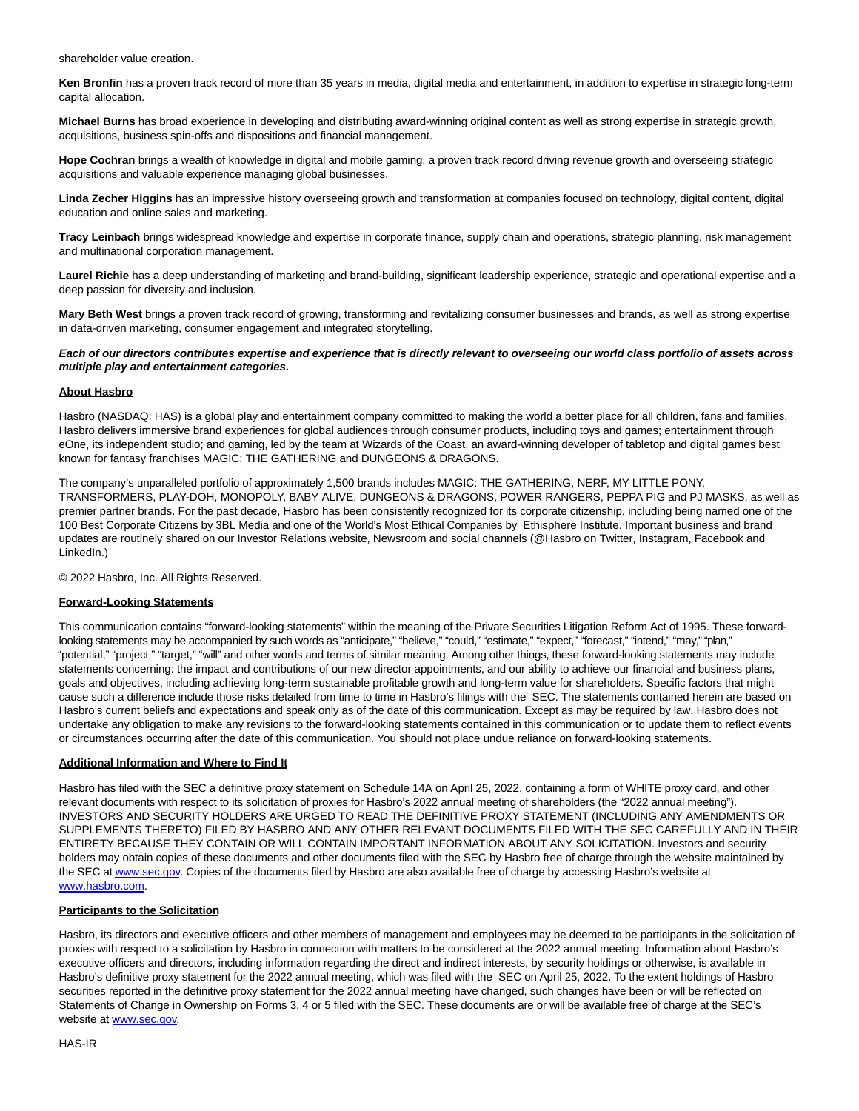shareholder value creation.

**Ken Bronfin** has a proven track record of more than 35 years in media, digital media and entertainment, in addition to expertise in strategic long-term capital allocation.

**Michael Burns** has broad experience in developing and distributing award-winning original content as well as strong expertise in strategic growth, acquisitions, business spin-offs and dispositions and financial management.

**Hope Cochran** brings a wealth of knowledge in digital and mobile gaming, a proven track record driving revenue growth and overseeing strategic acquisitions and valuable experience managing global businesses.

**Linda Zecher Higgins** has an impressive history overseeing growth and transformation at companies focused on technology, digital content, digital education and online sales and marketing.

**Tracy Leinbach** brings widespread knowledge and expertise in corporate finance, supply chain and operations, strategic planning, risk management and multinational corporation management.

**Laurel Richie** has a deep understanding of marketing and brand-building, significant leadership experience, strategic and operational expertise and a deep passion for diversity and inclusion.

**Mary Beth West** brings a proven track record of growing, transforming and revitalizing consumer businesses and brands, as well as strong expertise in data-driven marketing, consumer engagement and integrated storytelling.

## **Each of our directors contributes expertise and experience that is directly relevant to overseeing our world class portfolio of assets across multiple play and entertainment categories.**

## **About Hasbro**

Hasbro (NASDAQ: HAS) is a global play and entertainment company committed to making the world a better place for all children, fans and families. Hasbro delivers immersive brand experiences for global audiences through consumer products, including toys and games; entertainment through eOne, its independent studio; and gaming, led by the team at Wizards of the Coast, an award-winning developer of tabletop and digital games best known for fantasy franchises MAGIC: THE GATHERING and DUNGEONS & DRAGONS.

The company's unparalleled portfolio of approximately 1,500 brands includes MAGIC: THE GATHERING, NERF, MY LITTLE PONY, TRANSFORMERS, PLAY-DOH, MONOPOLY, BABY ALIVE, DUNGEONS & DRAGONS, POWER RANGERS, PEPPA PIG and PJ MASKS, as well as premier partner brands. For the past decade, Hasbro has been consistently recognized for its corporate citizenship, including being named one of the 100 Best Corporate Citizens by 3BL Media and one of the World's Most Ethical Companies by Ethisphere Institute. Important business and brand updates are routinely shared on our Investor Relations website, Newsroom and social channels (@Hasbro on Twitter, Instagram, Facebook and LinkedIn.)

© 2022 Hasbro, Inc. All Rights Reserved.

### **Forward-Looking Statements**

This communication contains "forward-looking statements" within the meaning of the Private Securities Litigation Reform Act of 1995. These forwardlooking statements may be accompanied by such words as "anticipate," "believe," "could," "estimate," "expect," "forecast," "intend," "may," "plan," "potential," "project," "target," "will" and other words and terms of similar meaning. Among other things, these forward-looking statements may include statements concerning: the impact and contributions of our new director appointments, and our ability to achieve our financial and business plans, goals and objectives, including achieving long-term sustainable profitable growth and long-term value for shareholders. Specific factors that might cause such a difference include those risks detailed from time to time in Hasbro's filings with the SEC. The statements contained herein are based on Hasbro's current beliefs and expectations and speak only as of the date of this communication. Except as may be required by law, Hasbro does not undertake any obligation to make any revisions to the forward-looking statements contained in this communication or to update them to reflect events or circumstances occurring after the date of this communication. You should not place undue reliance on forward-looking statements.

## **Additional Information and Where to Find It**

Hasbro has filed with the SEC a definitive proxy statement on Schedule 14A on April 25, 2022, containing a form of WHITE proxy card, and other relevant documents with respect to its solicitation of proxies for Hasbro's 2022 annual meeting of shareholders (the "2022 annual meeting"). INVESTORS AND SECURITY HOLDERS ARE URGED TO READ THE DEFINITIVE PROXY STATEMENT (INCLUDING ANY AMENDMENTS OR SUPPLEMENTS THERETO) FILED BY HASBRO AND ANY OTHER RELEVANT DOCUMENTS FILED WITH THE SEC CAREFULLY AND IN THEIR ENTIRETY BECAUSE THEY CONTAIN OR WILL CONTAIN IMPORTANT INFORMATION ABOUT ANY SOLICITATION. Investors and security holders may obtain copies of these documents and other documents filed with the SEC by Hasbro free of charge through the website maintained by the SEC a[t www.sec.gov.](https://cts.businesswire.com/ct/CT?id=smartlink&url=http%3A%2F%2Fwww.sec.gov&esheet=52723170&newsitemid=20220517006337&lan=en-US&anchor=www.sec.gov&index=2&md5=ef2e764d4c8bacafd2d705ded7ecf182) Copies of the documents filed by Hasbro are also available free of charge by accessing Hasbro's website at [www.hasbro.com.](https://cts.businesswire.com/ct/CT?id=smartlink&url=http%3A%2F%2Fwww.hasbro.com&esheet=52723170&newsitemid=20220517006337&lan=en-US&anchor=www.hasbro.com&index=3&md5=d2a7f5c9fbfab757bacf4bcd8a435909)

## **Participants to the Solicitation**

Hasbro, its directors and executive officers and other members of management and employees may be deemed to be participants in the solicitation of proxies with respect to a solicitation by Hasbro in connection with matters to be considered at the 2022 annual meeting. Information about Hasbro's executive officers and directors, including information regarding the direct and indirect interests, by security holdings or otherwise, is available in Hasbro's definitive proxy statement for the 2022 annual meeting, which was filed with the SEC on April 25, 2022. To the extent holdings of Hasbro securities reported in the definitive proxy statement for the 2022 annual meeting have changed, such changes have been or will be reflected on Statements of Change in Ownership on Forms 3, 4 or 5 filed with the SEC. These documents are or will be available free of charge at the SEC's website at [www.sec.gov.](https://cts.businesswire.com/ct/CT?id=smartlink&url=http%3A%2F%2Fwww.sec.gov&esheet=52723170&newsitemid=20220517006337&lan=en-US&anchor=www.sec.gov&index=4&md5=839660dbe4da65f5e5ff69c209de793c)